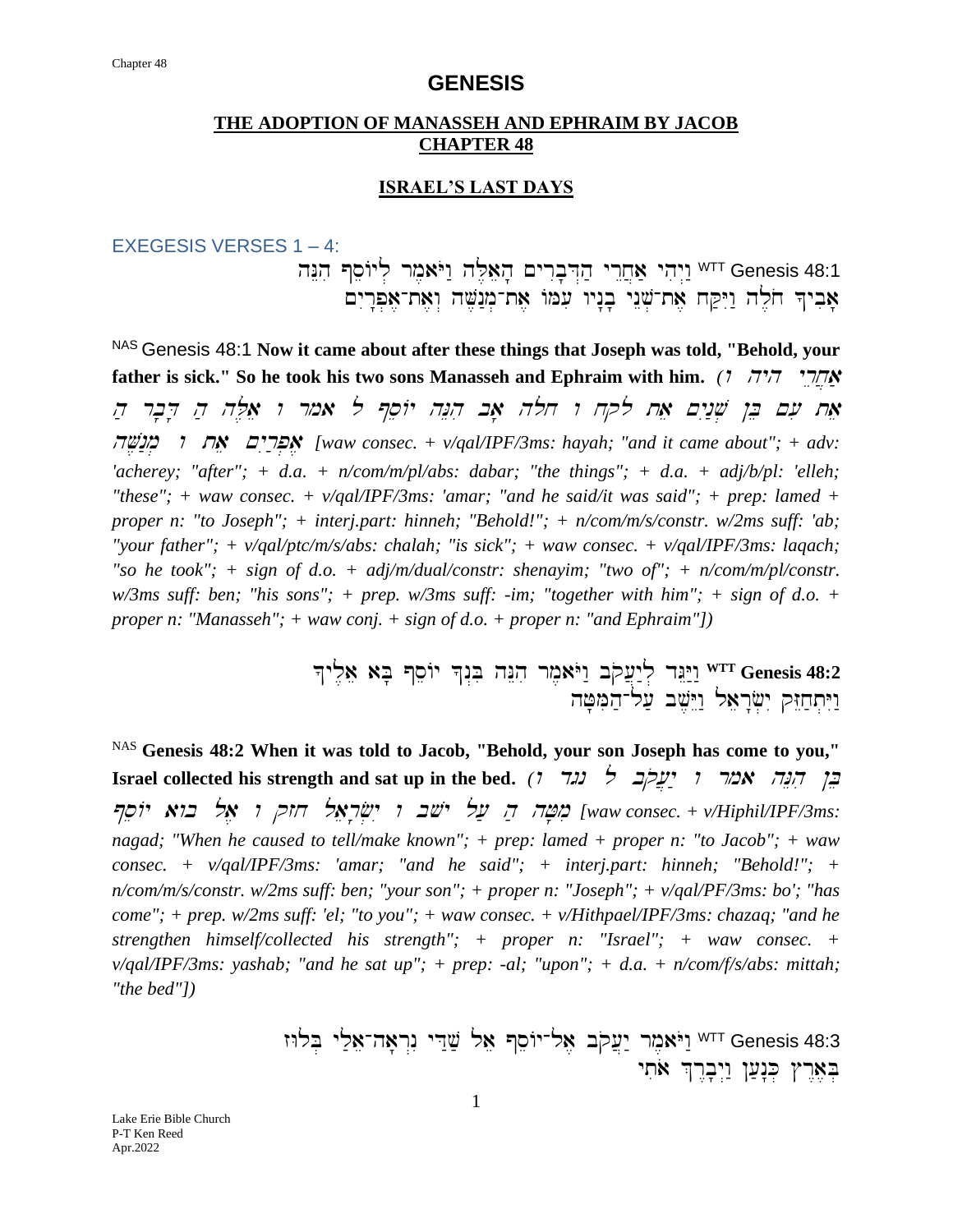### **THE ADOPTION OF MANASSEH AND EPHRAIM BY JACOB CHAPTER 48**

### **ISRAEL'S LAST DAYS**

EXEGESIS VERSES 1 – 4:

hNEhi @seAyl . rm,aYOw: hL ,aeh' ~yr Ib'D>h ; yr Ex]a; yhiy >w:WTT Genesis 48:1 אַביד חֹלֵה וַיִּקַח אֵת־שָׁנֵי בָנָיו עִמּוֹ אֶת־מְנַשֶּׁה וְאֶת־אֶפְרָיִם

NAS Genesis 48:1 **Now it came about after these things that Joseph was told, "Behold, your father is sick."** So he took his two sons Manasseh and Ephraim with him. *( אחרי היה היה* אַח עִם בֵּן שְׁנַיִם אֵת לקח ו חלה אָב הִנֵּה יוֹסֵף ל אמר ו אַלַּה הַ דָּבָר הַ hV,n:m. <sup>w</sup> tae ~yIr ;p.a, *[waw consec. + v/qal/IPF/3ms: hayah; "and it came about"; + adv: 'acherey; "after"; + d.a. + n/com/m/pl/abs: dabar; "the things"; + d.a. + adj/b/pl: 'elleh;*  "these"; + waw consec. +  $v$ /qal/IPF/3ms: 'amar; "and he said/it was said"; + prep: lamed + *proper n: "to Joseph"; + interj.part: hinneh; "Behold!"; + n/com/m/s/constr. w/2ms suff: 'ab; "your father"; + v/qal/ptc/m/s/abs: chalah; "is sick"; + waw consec. + v/qal/IPF/3ms: laqach;*  "so he took"; + sign of d.o. + adj/m/dual/constr: shenayim; "two of"; + n/com/m/pl/constr. *w/3ms suff: ben; "his sons"; + prep. w/3ms suff: -im; "together with him"; + sign of d.o. + proper n: "Manasseh"; + waw conj. + sign of d.o. + proper n: "and Ephraim"])* 

> ^yl ,ae aB' @seAy ^n >Bi hNEhi rm,aYOw: bq o[]y:l . dGEY:w: **WTT Genesis 48:2** ויתחזק ישׂראל וישב על־המטה

NAS **Genesis 48:2 When it was told to Jacob, "Behold, your son Joseph has come to you," Exael collected his strength and sat up in the bed.**  $(7 \text{ } 72)$   $\rightarrow$   $\frac{1}{2}$   $\rightarrow$   $\frac{1}{2}$   $\rightarrow$   $\frac{1}{2}$   $\rightarrow$   $\frac{1}{2}$ @seAy awb la, <sup>w</sup> qzx laer'f.yI <sup>w</sup> bvy l[; <sup>h</sup> ; hJ'mi *[waw consec. + v/Hiphil/IPF/3ms: nagad; "When he caused to tell/make known"; + prep: lamed + proper n: "to Jacob"; + waw consec. + v/qal/IPF/3ms: 'amar; "and he said"; + interj.part: hinneh; "Behold!"; + n/com/m/s/constr. w/2ms suff: ben; "your son"; + proper n: "Joseph"; + v/qal/PF/3ms: bo'; "has come"; + prep. w/2ms suff: 'el; "to you"; + waw consec. + v/Hithpael/IPF/3ms: chazaq; "and he strengthen himself/collected his strength"; + proper n: "Israel"; + waw consec. + v/qal/IPF/3ms: yashab; "and he sat up"; + prep: -al; "upon"; + d.a. + n/com/f/s/abs: mittah; "the bed"])*

> zWlB. yl ;ae-ha'r>nI yD :v; lae @seAy-la, bqo[]y: rm,aYOw :WTT Genesis 48:3 בְאֵרֶץ כִּנַעַן וַיִּבְרֶךְ אֹתִי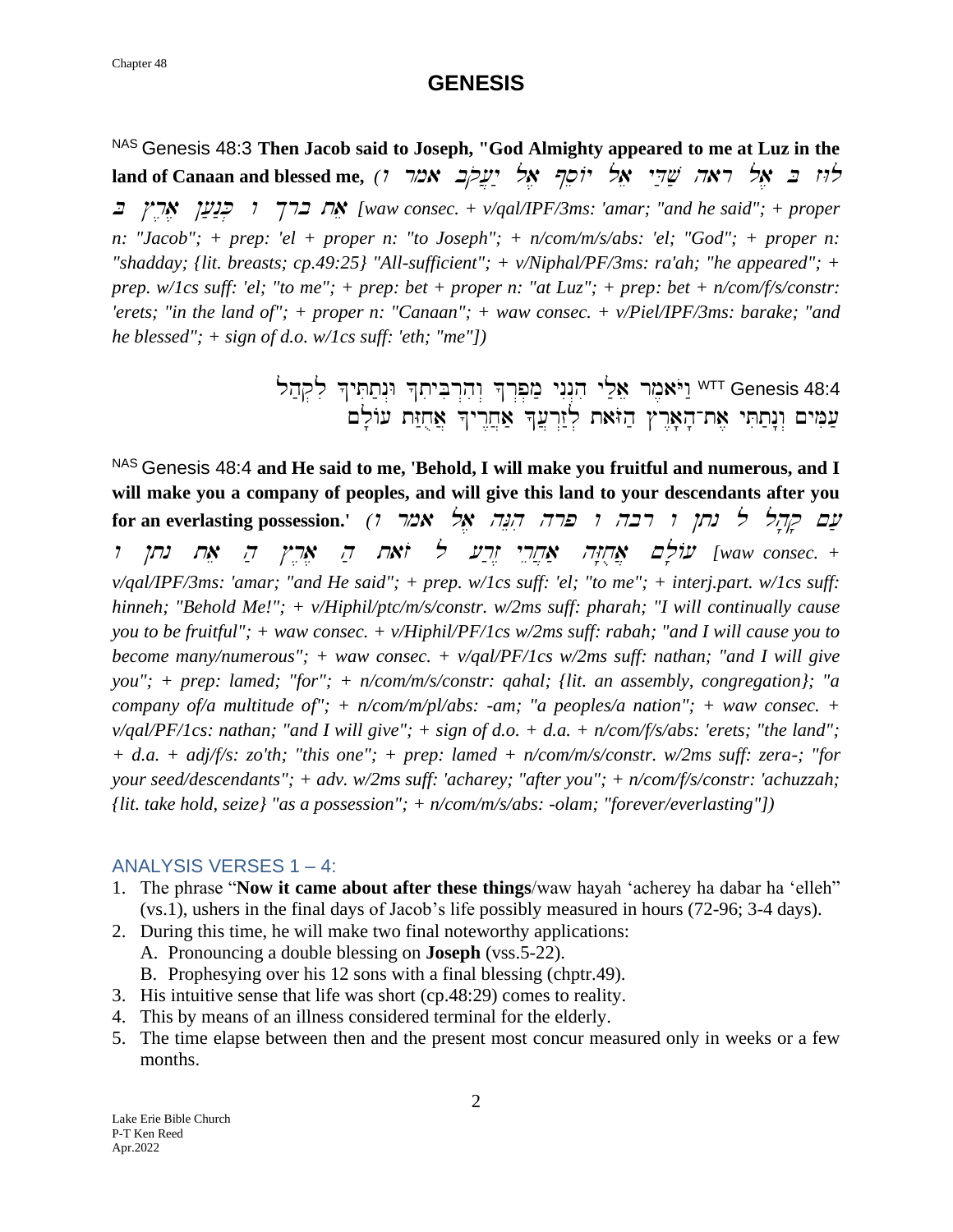NAS Genesis 48:3 **Then Jacob said to Joseph, "God Almighty appeared to me at Luz in the**   $l$ and of Canaan and blessed me,  $(1 - \frac{1}{2})$ לוּז בּ אָל ראה שַׁדֵּי אֵל יוֹסֵךְ אֵל יַעֲלִב אמר <sup>B</sup> #r,a, ![ ;n:K. <sup>w</sup> \$rb tae *[waw consec. + v/qal/IPF/3ms: 'amar; "and he said"; + proper n: "Jacob"; + prep: 'el + proper n: "to Joseph"; + n/com/m/s/abs: 'el; "God"; + proper n: "shadday; {lit. breasts; cp.49:25} "All-sufficient"; + v/Niphal/PF/3ms: ra'ah; "he appeared"; + prep. w/1cs suff: 'el; "to me"; + prep: bet + proper n: "at Luz"; + prep: bet + n/com/f/s/constr: 'erets; "in the land of"; + proper n: "Canaan"; + waw consec. + v/Piel/IPF/3ms: barake; "and he blessed"; + sign of d.o. w/1cs suff: 'eth; "me"])*

> lh ;q.li ^yTit;n>W ^tiyBir>h iw> ^r>p.m; ynIn >hi yl ;ae rm,aYOw :WTT Genesis 48:4 עַמִּים וְנָתַתִּי אֶת־הָאָרֶץ הַזּאת לְזַרְעֲדְ אַחֲרֶיךָ אֲחֻזַּת עוֹלָם

NAS Genesis 48:4 **and He said to me, 'Behold, I will make you fruitful and numerous, and I will make you a company of peoples, and will give this land to your descendants after you for an everlasting possession.'** *(יובה ומרה הְנֶה אֱל אמר ו'*) ו *f*or an everlasting possession waw consec. + .<mark>אַרְזְיָה אַחֲיֵרֵי זָרֲע לּ זֹאָת הַ אָרְיִי הַ אֵת נתן ו</mark> *v/qal/IPF/3ms: 'amar; "and He said"; + prep. w/1cs suff: 'el; "to me"; + interj.part. w/1cs suff: hinneh; "Behold Me!"; + v/Hiphil/ptc/m/s/constr. w/2ms suff: pharah; "I will continually cause you to be fruitful"; + waw consec. + v/Hiphil/PF/1cs w/2ms suff: rabah; "and I will cause you to become many/numerous"; + waw consec. + v/qal/PF/1cs w/2ms suff: nathan; "and I will give you"; + prep: lamed; "for"; + n/com/m/s/constr: qahal; {lit. an assembly, congregation}; "a company of/a multitude of"; + n/com/m/pl/abs: -am; "a peoples/a nation"; + waw consec. + v/qal/PF/1cs: nathan; "and I will give"; + sign of d.o. + d.a. + n/com/f/s/abs: 'erets; "the land"; + d.a. + adj/f/s: zo'th; "this one"; + prep: lamed + n/com/m/s/constr. w/2ms suff: zera-; "for your seed/descendants"; + adv. w/2ms suff: 'acharey; "after you"; + n/com/f/s/constr: 'achuzzah; {lit. take hold, seize} "as a possession"; + n/com/m/s/abs: -olam; "forever/everlasting"])*

### ANALYSIS VERSES 1 – 4:

- 1. The phrase "**Now it came about after these things**/waw hayah 'acherey ha dabar ha 'elleh" (vs.1), ushers in the final days of Jacob's life possibly measured in hours (72-96; 3-4 days).
- 2. During this time, he will make two final noteworthy applications:
	- A. Pronouncing a double blessing on **Joseph** (vss.5-22).
	- B. Prophesying over his 12 sons with a final blessing (chptr.49).
- 3. His intuitive sense that life was short (cp.48:29) comes to reality.
- 4. This by means of an illness considered terminal for the elderly.
- 5. The time elapse between then and the present most concur measured only in weeks or a few months.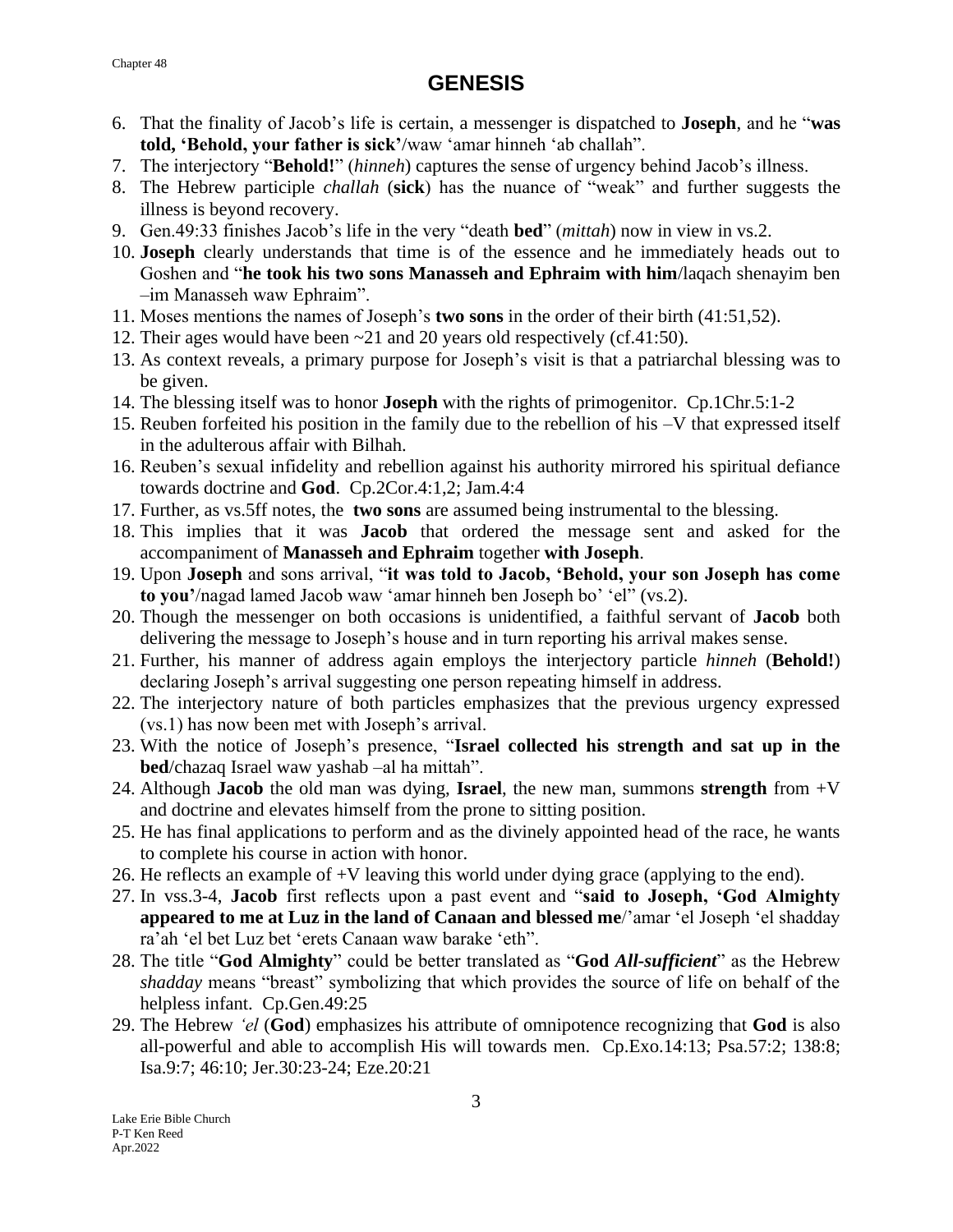#### Chapter 48

- 6. That the finality of Jacob's life is certain, a messenger is dispatched to **Joseph**, and he "**was told, 'Behold, your father is sick'**/waw 'amar hinneh 'ab challah".
- 7. The interjectory "**Behold!**" (*hinneh*) captures the sense of urgency behind Jacob's illness.
- 8. The Hebrew participle *challah* (**sick**) has the nuance of "weak" and further suggests the illness is beyond recovery.
- 9. Gen.49:33 finishes Jacob's life in the very "death **bed**" (*mittah*) now in view in vs.2.
- 10. **Joseph** clearly understands that time is of the essence and he immediately heads out to Goshen and "**he took his two sons Manasseh and Ephraim with him**/laqach shenayim ben –im Manasseh waw Ephraim".
- 11. Moses mentions the names of Joseph's **two sons** in the order of their birth (41:51,52).
- 12. Their ages would have been ~21 and 20 years old respectively (cf.41:50).
- 13. As context reveals, a primary purpose for Joseph's visit is that a patriarchal blessing was to be given.
- 14. The blessing itself was to honor **Joseph** with the rights of primogenitor. Cp.1Chr.5:1-2
- 15. Reuben forfeited his position in the family due to the rebellion of his –V that expressed itself in the adulterous affair with Bilhah.
- 16. Reuben's sexual infidelity and rebellion against his authority mirrored his spiritual defiance towards doctrine and **God**. Cp.2Cor.4:1,2; Jam.4:4
- 17. Further, as vs.5ff notes, the **two sons** are assumed being instrumental to the blessing.
- 18. This implies that it was **Jacob** that ordered the message sent and asked for the accompaniment of **Manasseh and Ephraim** together **with Joseph**.
- 19. Upon **Joseph** and sons arrival, "**it was told to Jacob, 'Behold, your son Joseph has come to you'**/nagad lamed Jacob waw 'amar hinneh ben Joseph bo' 'el" (vs.2).
- 20. Though the messenger on both occasions is unidentified, a faithful servant of **Jacob** both delivering the message to Joseph's house and in turn reporting his arrival makes sense.
- 21. Further, his manner of address again employs the interjectory particle *hinneh* (**Behold!**) declaring Joseph's arrival suggesting one person repeating himself in address.
- 22. The interjectory nature of both particles emphasizes that the previous urgency expressed (vs.1) has now been met with Joseph's arrival.
- 23. With the notice of Joseph's presence, "**Israel collected his strength and sat up in the bed**/chazaq Israel waw yashab –al ha mittah".
- 24. Although **Jacob** the old man was dying, **Israel**, the new man, summons **strength** from +V and doctrine and elevates himself from the prone to sitting position.
- 25. He has final applications to perform and as the divinely appointed head of the race, he wants to complete his course in action with honor.
- 26. He reflects an example of +V leaving this world under dying grace (applying to the end).
- 27. In vss.3-4, **Jacob** first reflects upon a past event and "**said to Joseph, 'God Almighty appeared to me at Luz in the land of Canaan and blessed me**/'amar 'el Joseph 'el shadday ra'ah 'el bet Luz bet 'erets Canaan waw barake 'eth".
- 28. The title "**God Almighty**" could be better translated as "**God** *All-sufficient*" as the Hebrew *shadday* means "breast" symbolizing that which provides the source of life on behalf of the helpless infant. Cp.Gen.49:25
- 29. The Hebrew *'el* (**God**) emphasizes his attribute of omnipotence recognizing that **God** is also all-powerful and able to accomplish His will towards men. Cp.Exo.14:13; Psa.57:2; 138:8; Isa.9:7; 46:10; Jer.30:23-24; Eze.20:21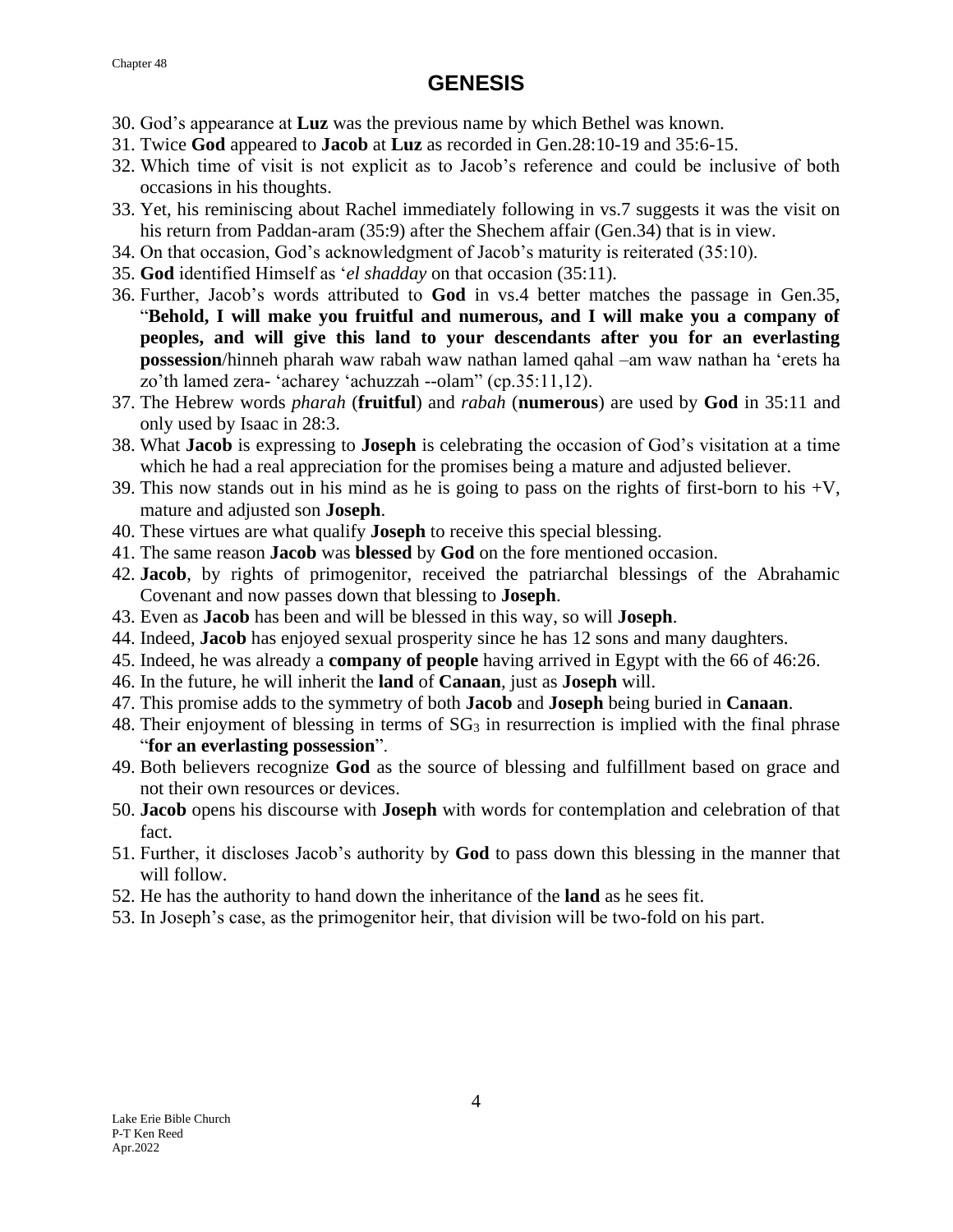- 30. God's appearance at **Luz** was the previous name by which Bethel was known.
- 31. Twice **God** appeared to **Jacob** at **Luz** as recorded in Gen.28:10-19 and 35:6-15.
- 32. Which time of visit is not explicit as to Jacob's reference and could be inclusive of both occasions in his thoughts.
- 33. Yet, his reminiscing about Rachel immediately following in vs.7 suggests it was the visit on his return from Paddan-aram (35:9) after the Shechem affair (Gen.34) that is in view.
- 34. On that occasion, God's acknowledgment of Jacob's maturity is reiterated (35:10).
- 35. **God** identified Himself as '*el shadday* on that occasion (35:11).
- 36. Further, Jacob's words attributed to **God** in vs.4 better matches the passage in Gen.35, "**Behold, I will make you fruitful and numerous, and I will make you a company of peoples, and will give this land to your descendants after you for an everlasting possession**/hinneh pharah waw rabah waw nathan lamed qahal –am waw nathan ha 'erets ha zo'th lamed zera- 'acharey 'achuzzah --olam" (cp.35:11,12).
- 37. The Hebrew words *pharah* (**fruitful**) and *rabah* (**numerous**) are used by **God** in 35:11 and only used by Isaac in 28:3.
- 38. What **Jacob** is expressing to **Joseph** is celebrating the occasion of God's visitation at a time which he had a real appreciation for the promises being a mature and adjusted believer.
- 39. This now stands out in his mind as he is going to pass on the rights of first-born to his  $+V$ , mature and adjusted son **Joseph**.
- 40. These virtues are what qualify **Joseph** to receive this special blessing.
- 41. The same reason **Jacob** was **blessed** by **God** on the fore mentioned occasion.
- 42. **Jacob**, by rights of primogenitor, received the patriarchal blessings of the Abrahamic Covenant and now passes down that blessing to **Joseph**.
- 43. Even as **Jacob** has been and will be blessed in this way, so will **Joseph**.
- 44. Indeed, **Jacob** has enjoyed sexual prosperity since he has 12 sons and many daughters.
- 45. Indeed, he was already a **company of people** having arrived in Egypt with the 66 of 46:26.
- 46. In the future, he will inherit the **land** of **Canaan**, just as **Joseph** will.
- 47. This promise adds to the symmetry of both **Jacob** and **Joseph** being buried in **Canaan**.
- 48. Their enjoyment of blessing in terms of  $SG_3$  in resurrection is implied with the final phrase "**for an everlasting possession**".
- 49. Both believers recognize **God** as the source of blessing and fulfillment based on grace and not their own resources or devices.
- 50. **Jacob** opens his discourse with **Joseph** with words for contemplation and celebration of that fact.
- 51. Further, it discloses Jacob's authority by **God** to pass down this blessing in the manner that will follow.
- 52. He has the authority to hand down the inheritance of the **land** as he sees fit.
- 53. In Joseph's case, as the primogenitor heir, that division will be two-fold on his part.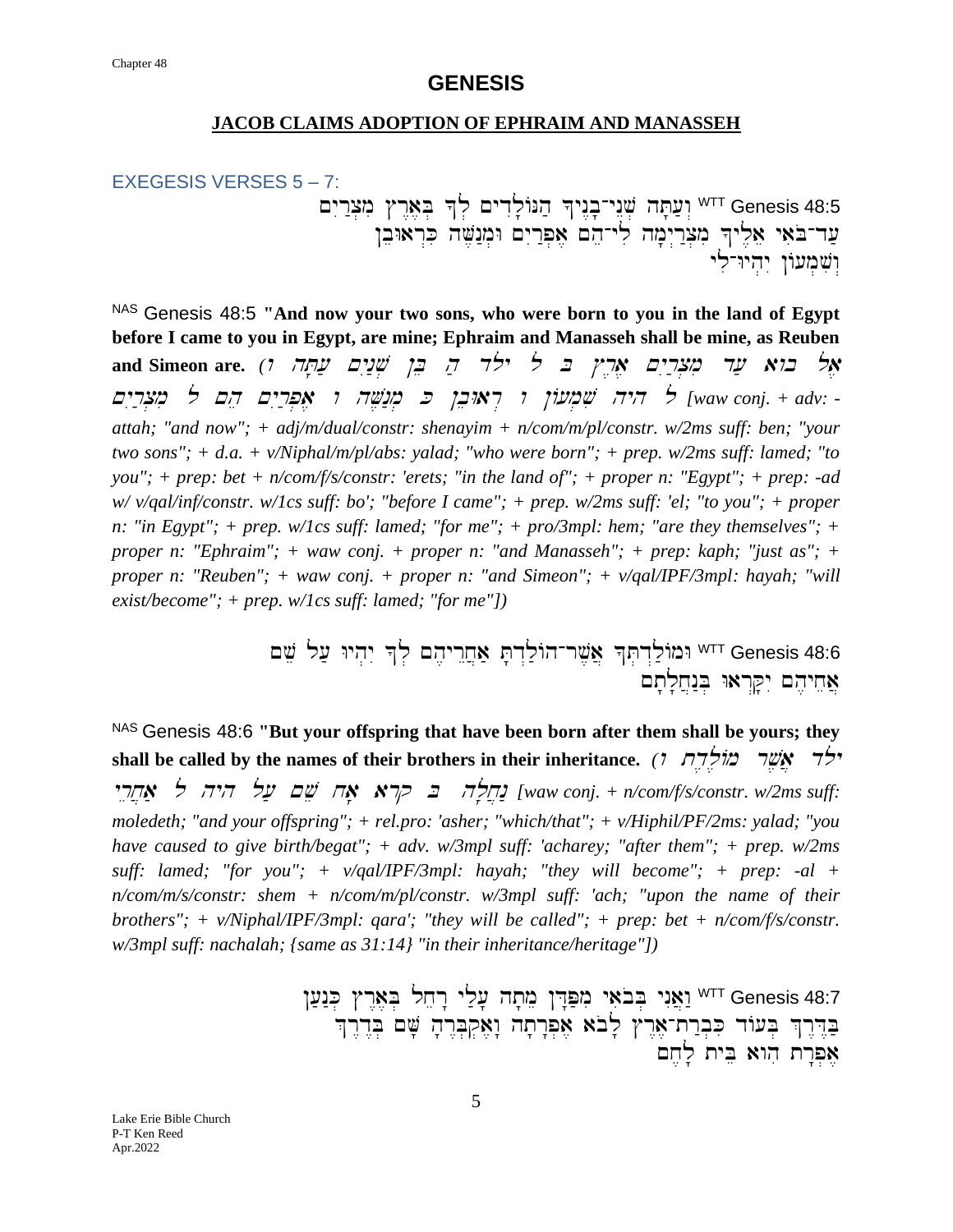#### **JACOB CLAIMS ADOPTION OF EPHRAIM AND MANASSEH**

#### EXEGESIS VERSES 5 – 7:

~yIr :c.mi #r<a,B. ^l. ~ydIl 'ANh; ^yn<b '-ynEv. hT'[ ;w>WTT Genesis 48:5 ער־באי אַלֶיךְ מִצְרַיִמָה לִי־הֵם אֶפְרַיִם וּמְנַשֶּׁה כִּרְאוּבֵן וִשְׁמָעוֹן יהיו־לי

NAS Genesis 48:5 **"And now your two sons, who were born to you in the land of Egypt before I came to you in Egypt, are mine; Ephraim and Manasseh shall be mine, as Reuben and Simeon are.**  $(1 \quad \nabla \mathbb{P} \mathbb{P} \mathbb{P} \mathbb{P} \mathbb{P} \mathbb{P} \mathbb{P} \mathbb{P} \mathbb{P} \mathbb{P} \mathbb{P} \mathbb{P} \mathbb{P} \mathbb{P} \mathbb{P} \mathbb{P} \mathbb{P} \mathbb{P} \mathbb{P} \mathbb{P} \mathbb{P} \mathbb{P} \mathbb{P} \mathbb{P} \mathbb{P} \mathbb{P} \mathbb{P} \mathbb{P} \mathbb{P} \mathbb{P} \mathbb{P} \mathbb{P} \math$ ~yIr ;c.mi l ~he ~yIr;p.a, <sup>w</sup> hV,n:m. <sup>K</sup> !beWar> <sup>w</sup> !A[m.vi hyh l *[waw conj. + adv: attah; "and now"; + adj/m/dual/constr: shenayim + n/com/m/pl/constr. w/2ms suff: ben; "your two sons"; + d.a. + v/Niphal/m/pl/abs: yalad; "who were born"; + prep. w/2ms suff: lamed; "to you"; + prep: bet + n/com/f/s/constr: 'erets; "in the land of"; + proper n: "Egypt"; + prep: -ad w/ v/qal/inf/constr. w/1cs suff: bo'; "before I came"; + prep. w/2ms suff: 'el; "to you"; + proper n: "in Egypt"; + prep. w/1cs suff: lamed; "for me"; + pro/3mpl: hem; "are they themselves"; + proper n: "Ephraim"; + waw conj. + proper n: "and Manasseh"; + prep: kaph; "just as"; + proper n: "Reuben"; + waw conj. + proper n: "and Simeon"; + v/qal/IPF/3mpl: hayah; "will exist/become"; + prep. w/1cs suff: lamed; "for me"])*

> ~ve l[; Wyh .yI ^l. ~h,yrEx]a; T 'd>l;Ah-rv,a] ^T.d>l;AmWWTT Genesis 48:6 אַחִיהֶם יִקַּרְאוּ בִּנְחֲלָתָם

NAS Genesis 48:6 **"But your offspring that have been born after them shall be yours; they shall be called by the names of their brothers in their inheritance.** *(1*  $\pi \neq \pi$ *)*  $\pi$ yrex]a; l hyh l[; ~ve xa' arq <sup>B</sup>hl 'x]n: *[waw conj. + n/com/f/s/constr. w/2ms suff: moledeth; "and your offspring"; + rel.pro: 'asher; "which/that"; + v/Hiphil/PF/2ms: yalad; "you have caused to give birth/begat"; + adv. w/3mpl suff: 'acharey; "after them"; + prep. w/2ms suff: lamed; "for you"; + v/qal/IPF/3mpl: hayah; "they will become"; + prep: -al + n/com/m/s/constr: shem + n/com/m/pl/constr. w/3mpl suff: 'ach; "upon the name of their brothers"; + v/Niphal/IPF/3mpl: qara'; "they will be called"; + prep: bet + n/com/f/s/constr. w/3mpl suff: nachalah; {same as 31:14} "in their inheritance/heritage"])* 

> ![;n:K. #r<a,B. lxer" yl ;[' ht'me !D"P;mi yaiboB . ynIa]w:WTT Genesis 48:7 בְּדֵּרֶךְ בִּעוֹד כִּבְרַת־אָרֶץ לָבֹא אִפְרָתָה נָאֲקִבְּרֶהָ שָׁם בְּדֶרֶךְ אפרת הוא בית לחם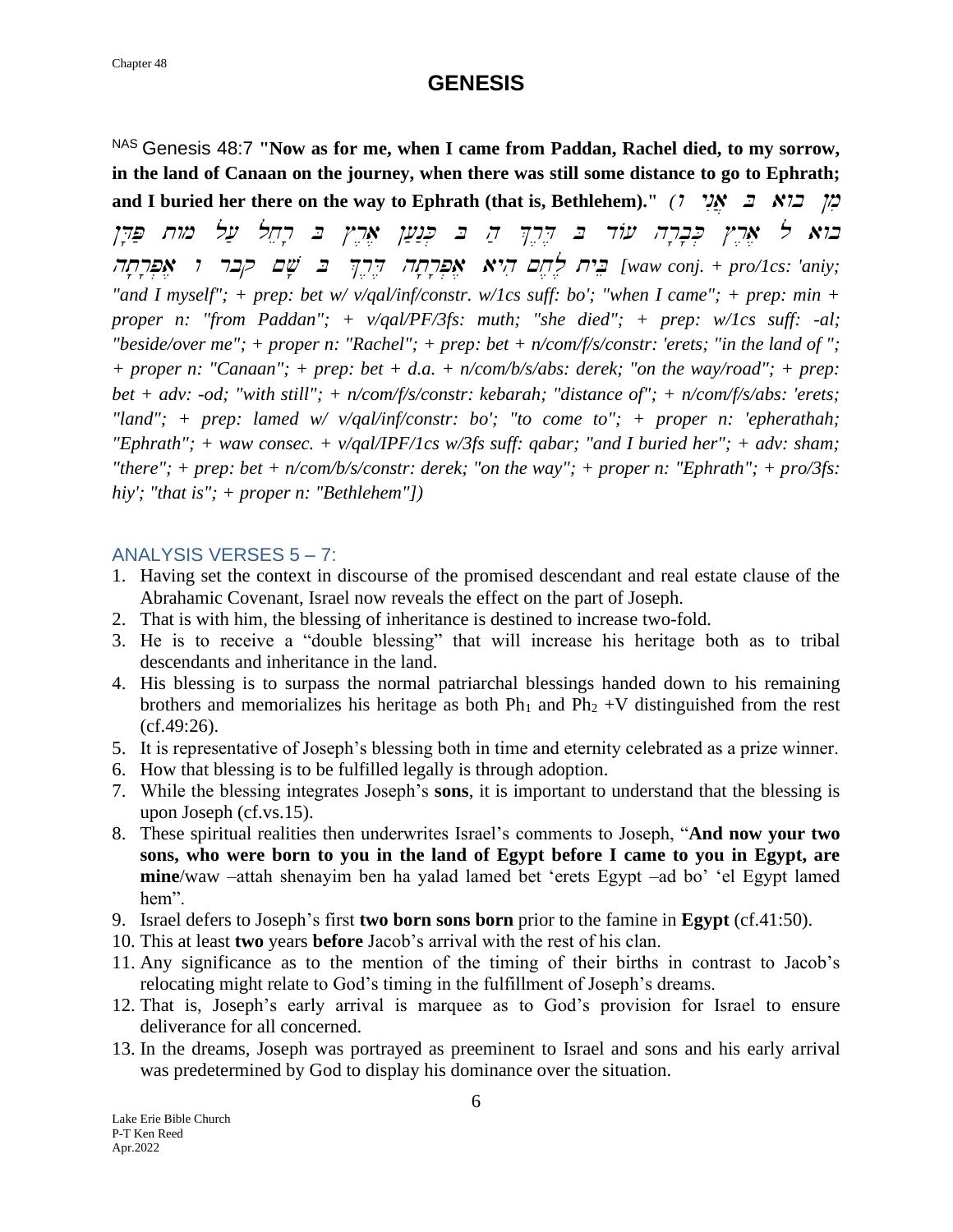NAS Genesis 48:7 **"Now as for me, when I came from Paddan, Rachel died, to my sorrow, in the land of Canaan on the journey, when there was still some distance to go to Ephrath; and I buried her there on the way to Ephrath (that is, Bethlehem)."** *(1 YN I NI***)**  $\frac{1}{2}$ בוא ל אָרֶץ כְּבָרְה עוֹד בּ דִּרְךָ הַ בּ כְּנַעַן אָרֶץ בּ רְחֵל עַל מוּח פַּדְן fwaw conj. + pro/1cs: 'aniy; בֵית לָחֵם הִיא אַפְרְתָה דְּיִךְ בּ שָׁם קבר ו אָפְרְתָה *"and I myself"; + prep: bet w/ v/qal/inf/constr. w/1cs suff: bo'; "when I came"; + prep: min + proper n: "from Paddan"; + v/qal/PF/3fs: muth; "she died"; + prep: w/1cs suff: -al; "beside/over me"; + proper n: "Rachel"; + prep: bet + n/com/f/s/constr: 'erets; "in the land of "; + proper n: "Canaan"; + prep: bet + d.a. + n/com/b/s/abs: derek; "on the way/road"; + prep: bet + adv: -od; "with still"; + n/com/f/s/constr: kebarah; "distance of"; + n/com/f/s/abs: 'erets; "land"; + prep: lamed w/ v/qal/inf/constr: bo'; "to come to"; + proper n: 'epherathah; "Ephrath"; + waw consec. + v/qal/IPF/1cs w/3fs suff: qabar; "and I buried her"; + adv: sham; "there"; + prep: bet + n/com/b/s/constr: derek; "on the way"; + proper n: "Ephrath"; + pro/3fs: hiy'; "that is"; + proper n: "Bethlehem"])*

### ANALYSIS VERSES 5 – 7:

- 1. Having set the context in discourse of the promised descendant and real estate clause of the Abrahamic Covenant, Israel now reveals the effect on the part of Joseph.
- 2. That is with him, the blessing of inheritance is destined to increase two-fold.
- 3. He is to receive a "double blessing" that will increase his heritage both as to tribal descendants and inheritance in the land.
- 4. His blessing is to surpass the normal patriarchal blessings handed down to his remaining brothers and memorializes his heritage as both  $Ph_1$  and  $Ph_2 + V$  distinguished from the rest (cf.49:26).
- 5. It is representative of Joseph's blessing both in time and eternity celebrated as a prize winner.
- 6. How that blessing is to be fulfilled legally is through adoption.
- 7. While the blessing integrates Joseph's **sons**, it is important to understand that the blessing is upon Joseph (cf.vs.15).
- 8. These spiritual realities then underwrites Israel's comments to Joseph, "**And now your two sons, who were born to you in the land of Egypt before I came to you in Egypt, are mine**/waw –attah shenayim ben ha yalad lamed bet 'erets Egypt –ad bo' 'el Egypt lamed hem".
- 9. Israel defers to Joseph's first **two born sons born** prior to the famine in **Egypt** (cf.41:50).
- 10. This at least **two** years **before** Jacob's arrival with the rest of his clan.
- 11. Any significance as to the mention of the timing of their births in contrast to Jacob's relocating might relate to God's timing in the fulfillment of Joseph's dreams.
- 12. That is, Joseph's early arrival is marquee as to God's provision for Israel to ensure deliverance for all concerned.
- 13. In the dreams, Joseph was portrayed as preeminent to Israel and sons and his early arrival was predetermined by God to display his dominance over the situation.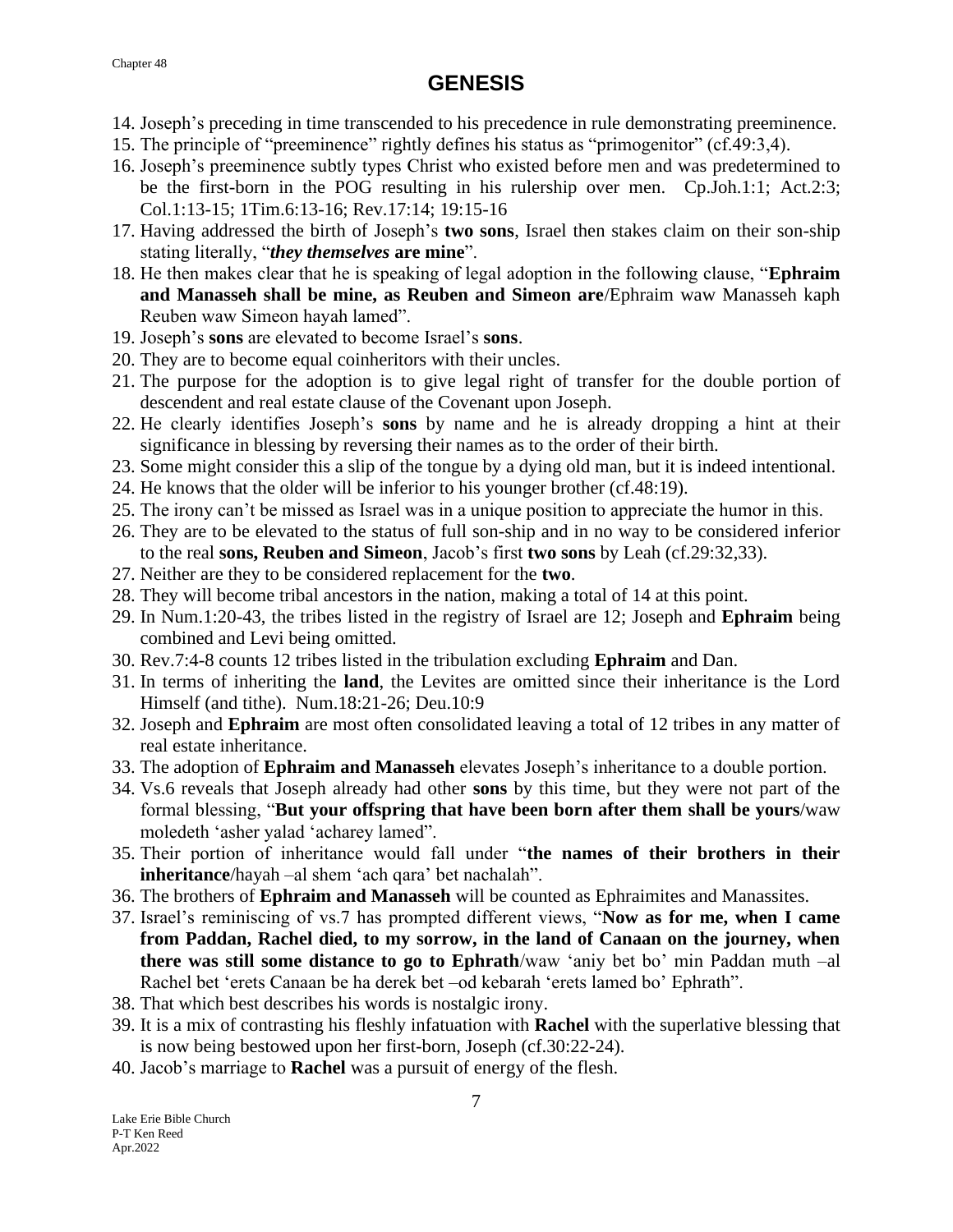- 14. Joseph's preceding in time transcended to his precedence in rule demonstrating preeminence.
- 15. The principle of "preeminence" rightly defines his status as "primogenitor" (cf.49:3,4).
- 16. Joseph's preeminence subtly types Christ who existed before men and was predetermined to be the first-born in the POG resulting in his rulership over men. Cp.Joh.1:1; Act.2:3; Col.1:13-15; 1Tim.6:13-16; Rev.17:14; 19:15-16
- 17. Having addressed the birth of Joseph's **two sons**, Israel then stakes claim on their son-ship stating literally, "*they themselves* **are mine**".
- 18. He then makes clear that he is speaking of legal adoption in the following clause, "**Ephraim and Manasseh shall be mine, as Reuben and Simeon are**/Ephraim waw Manasseh kaph Reuben waw Simeon hayah lamed".
- 19. Joseph's **sons** are elevated to become Israel's **sons**.
- 20. They are to become equal coinheritors with their uncles.
- 21. The purpose for the adoption is to give legal right of transfer for the double portion of descendent and real estate clause of the Covenant upon Joseph.
- 22. He clearly identifies Joseph's **sons** by name and he is already dropping a hint at their significance in blessing by reversing their names as to the order of their birth.
- 23. Some might consider this a slip of the tongue by a dying old man, but it is indeed intentional.
- 24. He knows that the older will be inferior to his younger brother (cf.48:19).
- 25. The irony can't be missed as Israel was in a unique position to appreciate the humor in this.
- 26. They are to be elevated to the status of full son-ship and in no way to be considered inferior to the real **sons, Reuben and Simeon**, Jacob's first **two sons** by Leah (cf.29:32,33).
- 27. Neither are they to be considered replacement for the **two**.
- 28. They will become tribal ancestors in the nation, making a total of 14 at this point.
- 29. In Num.1:20-43, the tribes listed in the registry of Israel are 12; Joseph and **Ephraim** being combined and Levi being omitted.
- 30. Rev.7:4-8 counts 12 tribes listed in the tribulation excluding **Ephraim** and Dan.
- 31. In terms of inheriting the **land**, the Levites are omitted since their inheritance is the Lord Himself (and tithe). Num.18:21-26; Deu.10:9
- 32. Joseph and **Ephraim** are most often consolidated leaving a total of 12 tribes in any matter of real estate inheritance.
- 33. The adoption of **Ephraim and Manasseh** elevates Joseph's inheritance to a double portion.
- 34. Vs.6 reveals that Joseph already had other **sons** by this time, but they were not part of the formal blessing, "**But your offspring that have been born after them shall be yours**/waw moledeth 'asher yalad 'acharey lamed".
- 35. Their portion of inheritance would fall under "**the names of their brothers in their inheritance**/hayah –al shem 'ach qara' bet nachalah".
- 36. The brothers of **Ephraim and Manasseh** will be counted as Ephraimites and Manassites.
- 37. Israel's reminiscing of vs.7 has prompted different views, "**Now as for me, when I came from Paddan, Rachel died, to my sorrow, in the land of Canaan on the journey, when there was still some distance to go to Ephrath**/waw 'aniy bet bo' min Paddan muth –al Rachel bet 'erets Canaan be ha derek bet –od kebarah 'erets lamed bo' Ephrath".
- 38. That which best describes his words is nostalgic irony.
- 39. It is a mix of contrasting his fleshly infatuation with **Rachel** with the superlative blessing that is now being bestowed upon her first-born, Joseph (cf.30:22-24).
- 40. Jacob's marriage to **Rachel** was a pursuit of energy of the flesh.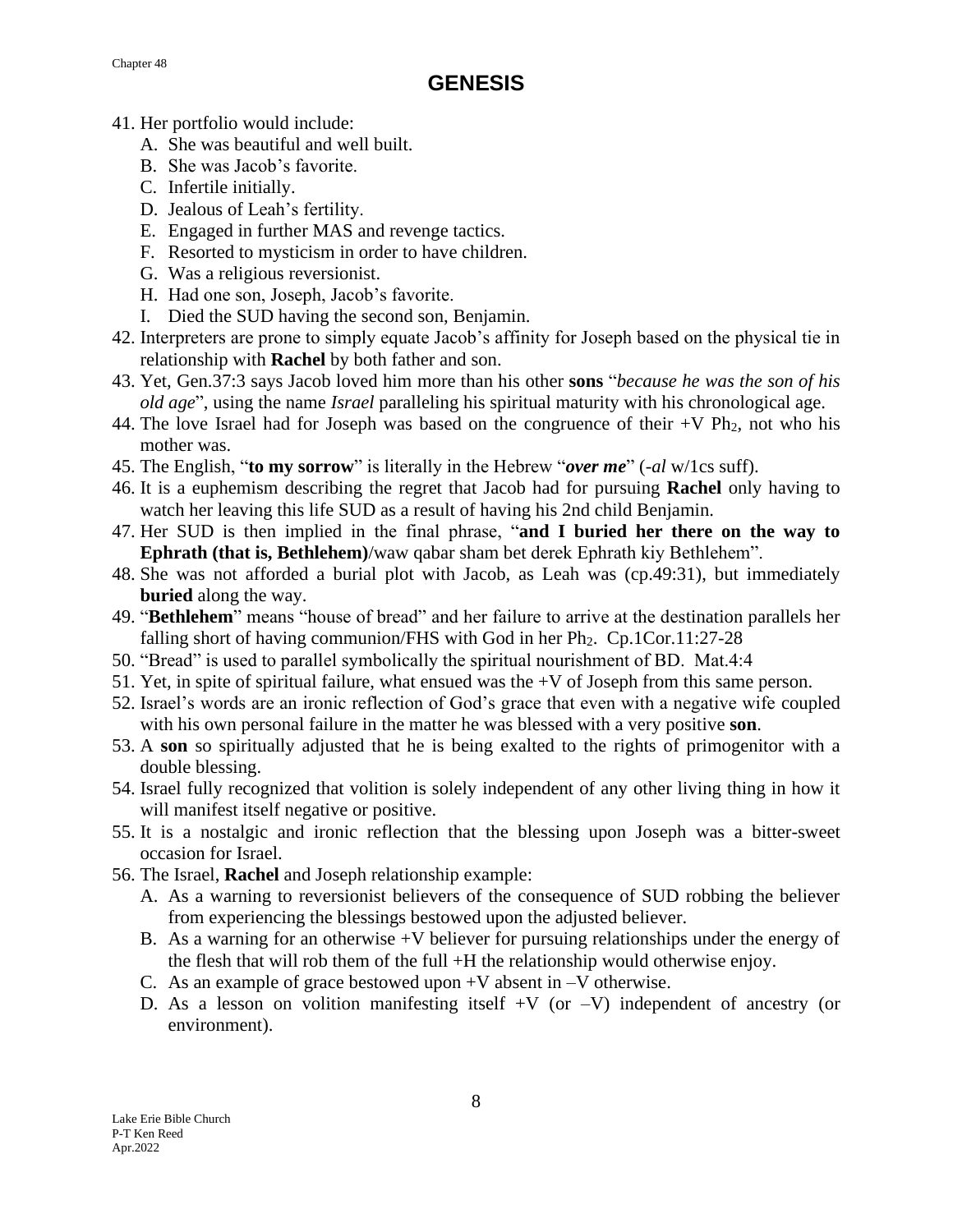- 41. Her portfolio would include:
	- A. She was beautiful and well built.
	- B. She was Jacob's favorite.
	- C. Infertile initially.
	- D. Jealous of Leah's fertility.
	- E. Engaged in further MAS and revenge tactics.
	- F. Resorted to mysticism in order to have children.
	- G. Was a religious reversionist.
	- H. Had one son, Joseph, Jacob's favorite.
	- I. Died the SUD having the second son, Benjamin.
- 42. Interpreters are prone to simply equate Jacob's affinity for Joseph based on the physical tie in relationship with **Rachel** by both father and son.
- 43. Yet, Gen.37:3 says Jacob loved him more than his other **sons** "*because he was the son of his old age*", using the name *Israel* paralleling his spiritual maturity with his chronological age.
- 44. The love Israel had for Joseph was based on the congruence of their  $+V Ph<sub>2</sub>$ , not who his mother was.
- 45. The English, "**to my sorrow**" is literally in the Hebrew "*over me*" (*-al* w/1cs suff).
- 46. It is a euphemism describing the regret that Jacob had for pursuing **Rachel** only having to watch her leaving this life SUD as a result of having his 2nd child Benjamin.
- 47. Her SUD is then implied in the final phrase, "**and I buried her there on the way to Ephrath (that is, Bethlehem)**/waw qabar sham bet derek Ephrath kiy Bethlehem".
- 48. She was not afforded a burial plot with Jacob, as Leah was (cp.49:31), but immediately **buried** along the way.
- 49. "**Bethlehem**" means "house of bread" and her failure to arrive at the destination parallels her falling short of having communion/FHS with God in her  $Ph_2$ . Cp.1Cor.11:27-28
- 50. "Bread" is used to parallel symbolically the spiritual nourishment of BD. Mat.4:4
- 51. Yet, in spite of spiritual failure, what ensued was the +V of Joseph from this same person.
- 52. Israel's words are an ironic reflection of God's grace that even with a negative wife coupled with his own personal failure in the matter he was blessed with a very positive **son**.
- 53. A **son** so spiritually adjusted that he is being exalted to the rights of primogenitor with a double blessing.
- 54. Israel fully recognized that volition is solely independent of any other living thing in how it will manifest itself negative or positive.
- 55. It is a nostalgic and ironic reflection that the blessing upon Joseph was a bitter-sweet occasion for Israel.
- 56. The Israel, **Rachel** and Joseph relationship example:
	- A. As a warning to reversionist believers of the consequence of SUD robbing the believer from experiencing the blessings bestowed upon the adjusted believer.
	- B. As a warning for an otherwise  $+V$  believer for pursuing relationships under the energy of the flesh that will rob them of the full +H the relationship would otherwise enjoy.
	- C. As an example of grace bestowed upon +V absent in –V otherwise.
	- D. As a lesson on volition manifesting itself  $+V$  (or  $-V$ ) independent of ancestry (or environment).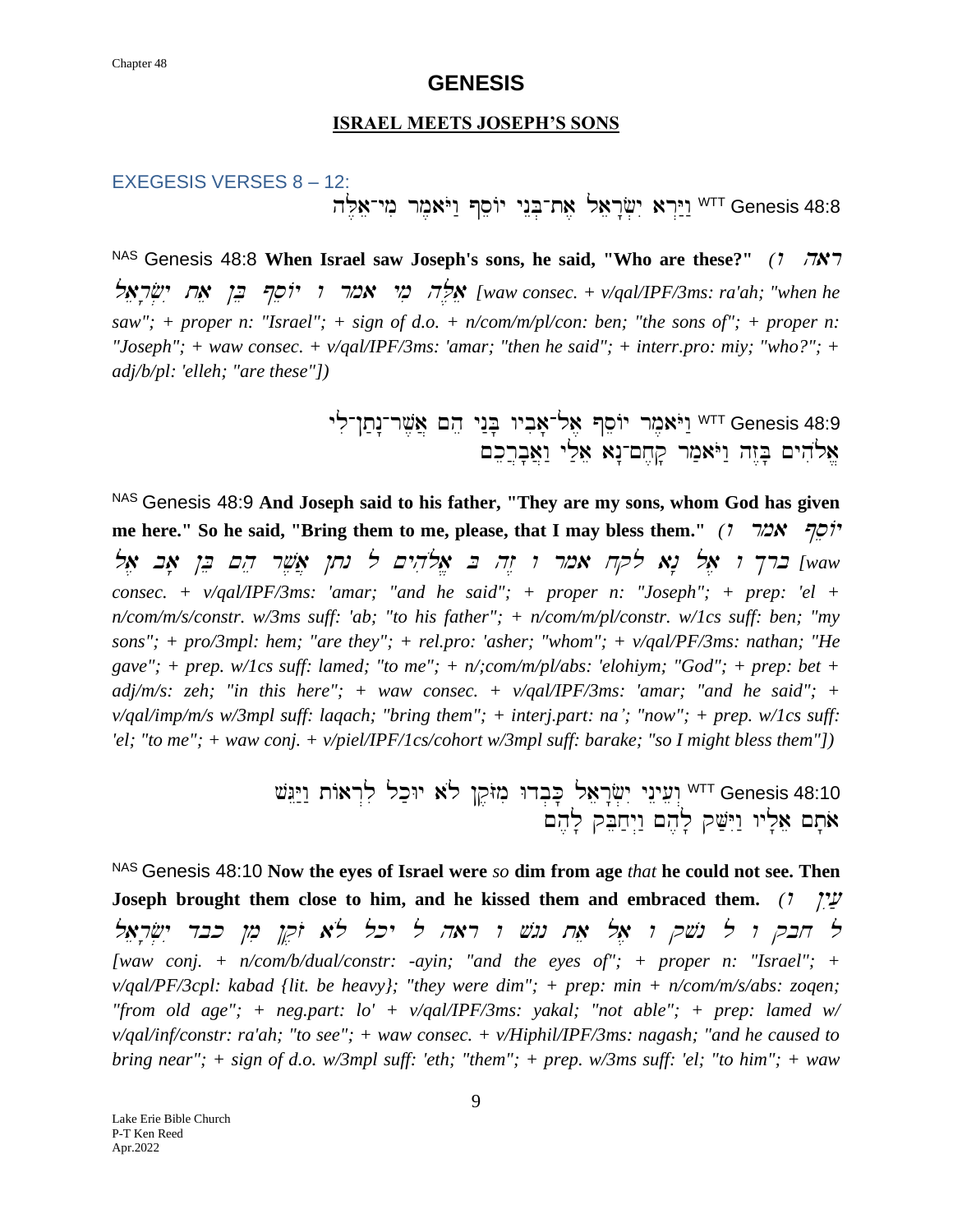#### **ISRAEL MEETS JOSEPH'S SONS**

## EXEGESIS VERSES 8 – 12: hL,ae-ymi rm,aYOw: @seAy ynEB.-ta, laer"f .yI ar>Y:w:WTT Genesis 48:8

NAS Genesis 48:8 When Israel saw Joseph's sons, he said, "Who are these?" *(1 7N)* laer'f.yI tae !B e @seAy <sup>w</sup> rma ymi hL ,ae *[waw consec. + v/qal/IPF/3ms: ra'ah; "when he saw"; + proper n: "Israel"; + sign of d.o. + n/com/m/pl/con: ben; "the sons of"; + proper n: "Joseph"; + waw consec. + v/qal/IPF/3ms: 'amar; "then he said"; + interr.pro: miy; "who?"; + adj/b/pl: 'elleh; "are these"])* 

> יאֹמֶר יוֹסֵף אֶל־אָבִיו בְּנַי הֵם אֲשֶׁר־נָתַן־לִי fenesis 48:9 אַלהים בְּזֵה וַיֹּאמַר קַחֵם־נָא אֵלֵי וַאֲבַרֵכֵם

NAS Genesis 48:9 **And Joseph said to his father, "They are my sons, whom God has given me here."** So he said, "Bring them to me, please, that I may bless them." *(l*  $\pi$ 2x  $\pi$ lwaw ברך **ו אל נא** לקח אמר ו זֵה בּ אֱלֹהִים ל נתן אֲשֵׁר הֵם בֵּן אָב אֱלֹ *consec. + v/qal/IPF/3ms: 'amar; "and he said"; + proper n: "Joseph"; + prep: 'el + n/com/m/s/constr. w/3ms suff: 'ab; "to his father"; + n/com/m/pl/constr. w/1cs suff: ben; "my sons"; + pro/3mpl: hem; "are they"; + rel.pro: 'asher; "whom"; + v/qal/PF/3ms: nathan; "He gave"; + prep. w/1cs suff: lamed; "to me"; + n/;com/m/pl/abs: 'elohiym; "God"; + prep: bet + adj/m/s: zeh; "in this here"; + waw consec. + v/qal/IPF/3ms: 'amar; "and he said"; + v/qal/imp/m/s w/3mpl suff: laqach; "bring them"; + interj.part: na'; "now"; + prep. w/1cs suff: 'el; "to me"; + waw conj. + v/piel/IPF/1cs/cohort w/3mpl suff: barake; "so I might bless them"])* 

> עֵינֵי יִשְׂרָאֵל כָּבְדוּ מִזּקֵן לֹא יוּכַל לִרְאוֹת וַיַּגֵּשׁ Genesis 48:10  $\sim$ אתם אליו וישק להם ויחבק להם

NAS Genesis 48:10 **Now the eyes of Israel were** *so* **dim from age** *that* **he could not see. Then Joseph brought them close to him, and he kissed them and embraced them.**  $(7 \frac{m}{2})$ ל חבק ו ל נשק ו אל אח נגש ו ראה ל יכל לא זקן מן כבד ישראל *[waw conj. + n/com/b/dual/constr: -ayin; "and the eyes of"; + proper n: "Israel"; + v/qal/PF/3cpl: kabad {lit. be heavy}; "they were dim"; + prep: min + n/com/m/s/abs: zoqen; "from old age"; + neg.part: lo' + v/qal/IPF/3ms: yakal; "not able"; + prep: lamed w/ v/qal/inf/constr: ra'ah; "to see"; + waw consec. + v/Hiphil/IPF/3ms: nagash; "and he caused to bring near"; + sign of d.o. w/3mpl suff: 'eth; "them"; + prep. w/3ms suff: 'el; "to him"; + waw*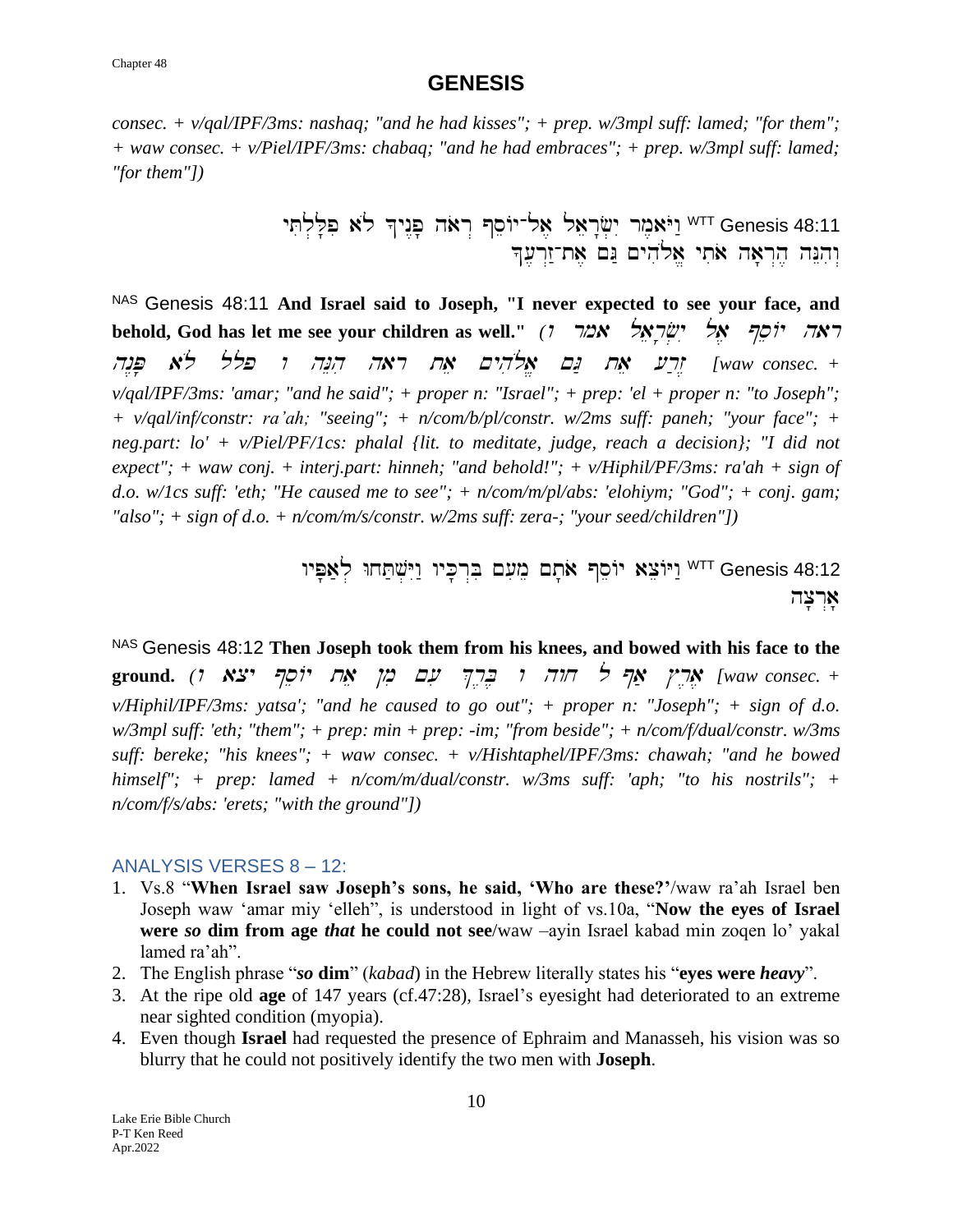*consec. + v/qal/IPF/3ms: nashaq; "and he had kisses"; + prep. w/3mpl suff: lamed; "for them"; + waw consec. + v/Piel/IPF/3ms: chabaq; "and he had embraces"; + prep. w/3mpl suff: lamed; "for them"])*

> Y<sup>TT</sup> Genesis 48:11 יַיֹּאמֶר יִשְׂרָאֵל אֶל־יוֹסֵף רְאֹה פְנֶיךָ לֹא פִלְלְתִּי וּהִנֵּה הֵרְאָה אֹתִי אֵלֹהִים נֵּם אֵת־זַרְעֵךְ

NAS Genesis 48:11 **And Israel said to Joseph, "I never expected to see your face, and behold, God has let me see your children as well."** (*? אבל יִשְׂרָאֵל אמר*  $\gamma$ וֹ hn<P' al{ llp <sup>w</sup> hNEhi har tae ~yh il{a/ ~G: tae [r;z< *[waw consec. + v/qal/IPF/3ms: 'amar; "and he said"; + proper n: "Israel"; + prep: 'el + proper n: "to Joseph"; + v/qal/inf/constr: ra'ah; "seeing"; + n/com/b/pl/constr. w/2ms suff: paneh; "your face"; + neg.part: lo' + v/Piel/PF/1cs: phalal {lit. to meditate, judge, reach a decision}; "I did not expect"; + waw conj. + interj.part: hinneh; "and behold!"; + v/Hiphil/PF/3ms: ra'ah + sign of d.o. w/1cs suff: 'eth; "He caused me to see"; + n/com/m/pl/abs: 'elohiym; "God"; + conj. gam; "also"; + sign of d.o. + n/com/m/s/constr. w/2ms suff: zera-; "your seed/children"])*

> יוֹמֵה עַמָּט (<sup>WTT</sup> Genesis 48:12 <sup>WTT</sup> Genesis 48:12 אַרִצַה

NAS Genesis 48:12 **Then Joseph took them from his knees, and bowed with his face to the ground.** *(*<sup>w</sup> acy @seAy tae !mi ~[i %r,B, <sup>w</sup> hwx l @a; #r,a, *[waw consec. + v/Hiphil/IPF/3ms: yatsa'; "and he caused to go out"; + proper n: "Joseph"; + sign of d.o. w/3mpl suff: 'eth; "them"; + prep: min + prep: -im; "from beside"; + n/com/f/dual/constr. w/3ms suff: bereke; "his knees"; + waw consec. + v/Hishtaphel/IPF/3ms: chawah; "and he bowed himself"; + prep: lamed + n/com/m/dual/constr. w/3ms suff: 'aph; "to his nostrils"; + n/com/f/s/abs: 'erets; "with the ground"])*

### ANALYSIS VERSES 8 – 12:

- 1. Vs.8 "**When Israel saw Joseph's sons, he said, 'Who are these?'**/waw ra'ah Israel ben Joseph waw 'amar miy 'elleh", is understood in light of vs.10a, "**Now the eyes of Israel were** *so* **dim from age** *that* **he could not see**/waw –ayin Israel kabad min zoqen lo' yakal lamed ra'ah".
- 2. The English phrase "*so* **dim**" (*kabad*) in the Hebrew literally states his "**eyes were** *heavy*".
- 3. At the ripe old **age** of 147 years (cf.47:28), Israel's eyesight had deteriorated to an extreme near sighted condition (myopia).
- 4. Even though **Israel** had requested the presence of Ephraim and Manasseh, his vision was so blurry that he could not positively identify the two men with **Joseph**.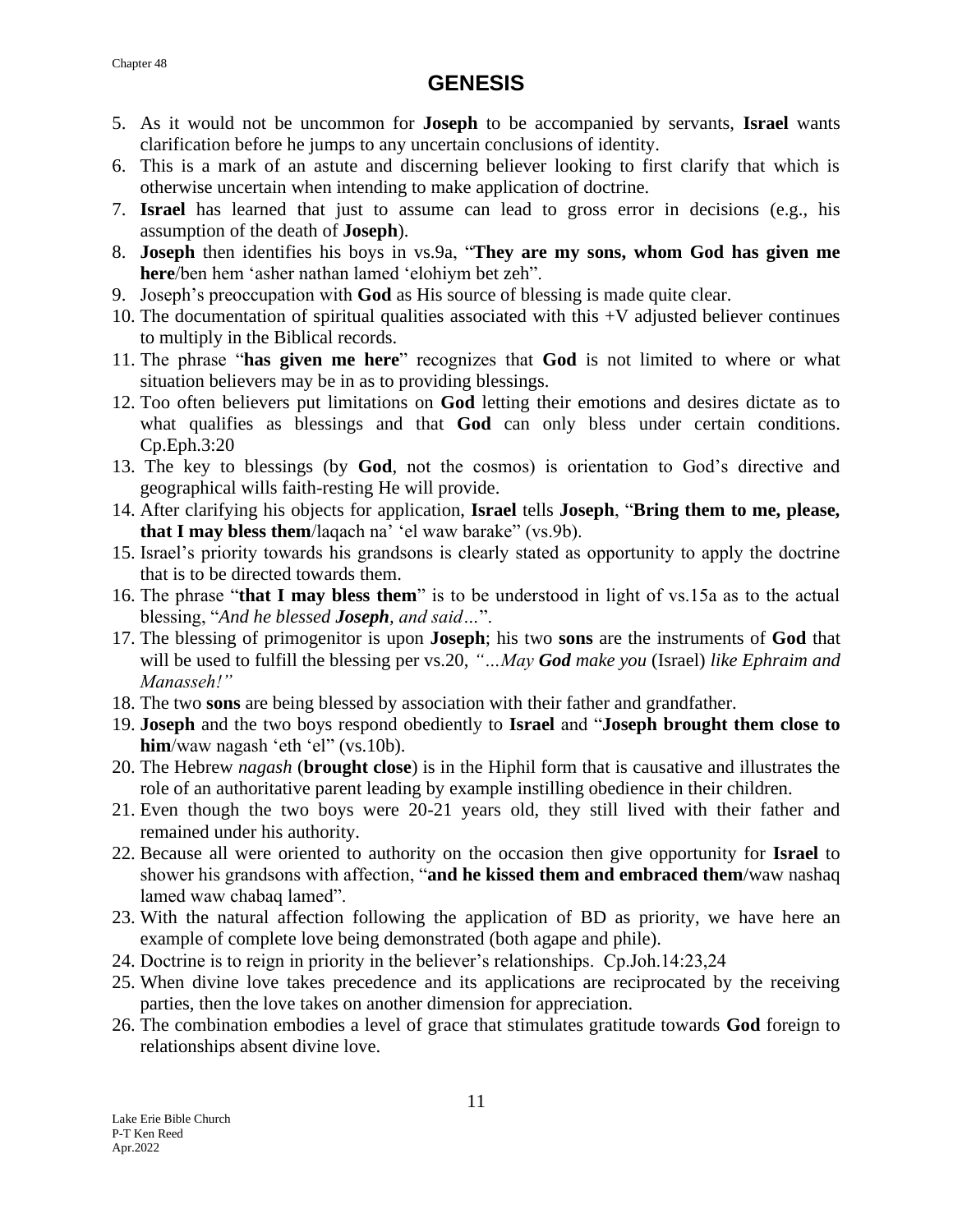- 5. As it would not be uncommon for **Joseph** to be accompanied by servants, **Israel** wants clarification before he jumps to any uncertain conclusions of identity.
- 6. This is a mark of an astute and discerning believer looking to first clarify that which is otherwise uncertain when intending to make application of doctrine.
- 7. **Israel** has learned that just to assume can lead to gross error in decisions (e.g., his assumption of the death of **Joseph**).
- 8. **Joseph** then identifies his boys in vs.9a, "**They are my sons, whom God has given me here**/ben hem 'asher nathan lamed 'elohiym bet zeh".
- 9. Joseph's preoccupation with **God** as His source of blessing is made quite clear.
- 10. The documentation of spiritual qualities associated with this +V adjusted believer continues to multiply in the Biblical records.
- 11. The phrase "**has given me here**" recognizes that **God** is not limited to where or what situation believers may be in as to providing blessings.
- 12. Too often believers put limitations on **God** letting their emotions and desires dictate as to what qualifies as blessings and that **God** can only bless under certain conditions. Cp.Eph.3:20
- 13. The key to blessings (by **God**, not the cosmos) is orientation to God's directive and geographical wills faith-resting He will provide.
- 14. After clarifying his objects for application, **Israel** tells **Joseph**, "**Bring them to me, please, that I may bless them**/laqach na' 'el waw barake" (vs.9b).
- 15. Israel's priority towards his grandsons is clearly stated as opportunity to apply the doctrine that is to be directed towards them.
- 16. The phrase "**that I may bless them**" is to be understood in light of vs.15a as to the actual blessing, "*And he blessed Joseph, and said…*".
- 17. The blessing of primogenitor is upon **Joseph**; his two **sons** are the instruments of **God** that will be used to fulfill the blessing per vs.20, *"…May God make you* (Israel) *like Ephraim and Manasseh!"*
- 18. The two **sons** are being blessed by association with their father and grandfather.
- 19. **Joseph** and the two boys respond obediently to **Israel** and "**Joseph brought them close to him**/waw nagash 'eth 'el" (vs.10b).
- 20. The Hebrew *nagash* (**brought close**) is in the Hiphil form that is causative and illustrates the role of an authoritative parent leading by example instilling obedience in their children.
- 21. Even though the two boys were 20-21 years old, they still lived with their father and remained under his authority.
- 22. Because all were oriented to authority on the occasion then give opportunity for **Israel** to shower his grandsons with affection, "**and he kissed them and embraced them**/waw nashaq lamed waw chabaq lamed".
- 23. With the natural affection following the application of BD as priority, we have here an example of complete love being demonstrated (both agape and phile).
- 24. Doctrine is to reign in priority in the believer's relationships. Cp.Joh.14:23,24
- 25. When divine love takes precedence and its applications are reciprocated by the receiving parties, then the love takes on another dimension for appreciation.
- 26. The combination embodies a level of grace that stimulates gratitude towards **God** foreign to relationships absent divine love.